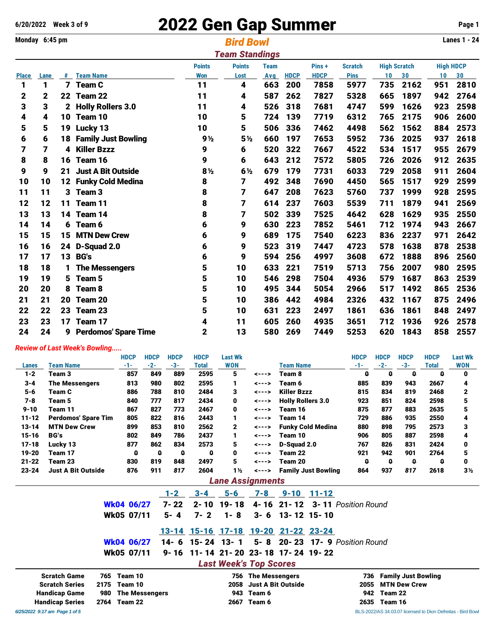## **2022 Gen Gap Summer Page 1 Page 1 Monday 6:45 pm**

|              | Monday 6:45 pm |                 |                             |                | <b>Bird Bowl</b>      |             | <b>Lanes 1 - 24</b> |             |                |                     |      |                  |      |
|--------------|----------------|-----------------|-----------------------------|----------------|-----------------------|-------------|---------------------|-------------|----------------|---------------------|------|------------------|------|
|              |                |                 |                             |                | <b>Team Standings</b> |             |                     |             |                |                     |      |                  |      |
|              |                |                 |                             | <b>Points</b>  | <b>Points</b>         | <b>Team</b> |                     | Pins+       | <b>Scratch</b> | <b>High Scratch</b> |      | <b>High HDCP</b> |      |
| <b>Place</b> | Lane           | #               | <b>Team Name</b>            | <b>Won</b>     | Lost                  | Avg         | <b>HDCP</b>         | <b>HDCP</b> | <b>Pins</b>    | 10                  | 30   | 10               | 30   |
| 1            | 1              |                 | 7 Team C                    | 11             | 4                     | 663         | 200                 | 7858        | 5977           | 735                 | 2162 | 951              | 2810 |
| 2            | 2              |                 | 22 Team 22                  | 11             | 4                     | 587         | 262                 | 7827        | 5328           | 665                 | 1897 | 942              | 2764 |
| 3            | 3              |                 | 2 Holly Rollers 3.0         | 11             | 4                     | 526         | 318                 | 7681        | 4747           | 599                 | 1626 | 923              | 2598 |
| 4            | 4              | 10              | Team 10                     | 10             | 5                     | 724         | 139                 | 7719        | 6312           | 765                 | 2175 | 906              | 2600 |
| 5            | 5              | 19              | Lucky 13                    | 10             | 5                     | 506         | 336                 | 7462        | 4498           | 562                 | 1562 | 884              | 2573 |
| 6            | 6              | 18              | <b>Family Just Bowling</b>  | 9 <sub>2</sub> | 5 %                   | 660         | 197                 | 7653        | 5952           | 736                 | 2025 | 937              | 2618 |
| 7            | 7              | 4               | <b>Killer Bzzz</b>          | 9              | 6                     | 520         | 322                 | 7667        | 4522           | 534                 | 1517 | 955              | 2679 |
| 8            | 8              | 16              | Team 16                     | 9              | 6                     | 643         | 212                 | 7572        | 5805           | 726                 | 2026 | 912              | 2635 |
| 9            | 9              | 21              | <b>Just A Bit Outside</b>   | 8 <sub>2</sub> | 6½                    | 679         | 179                 | 7731        | 6033           | 729                 | 2058 | 911              | 2604 |
| 10           | 10             | 12 <sub>2</sub> | <b>Funky Cold Medina</b>    | 8              | 7                     | 492         | 348                 | 7690        | 4450           | 565                 | 1517 | 929              | 2599 |
| 11           | 11             |                 | 3 Team 3                    | 8              | 7                     | 647         | 208                 | 7623        | 5760           | 737                 | 1999 | 928              | 2595 |
| 12           | 12             | 11              | Team 11                     | 8              | 7                     | 614         | 237                 | 7603        | 5539           | 711                 | 1879 | 941              | 2569 |
| 13           | 13             | 14              | Team 14                     | 8              | 7                     | 502         | 339                 | 7525        | 4642           | 628                 | 1629 | 935              | 2550 |
| 14           | 14             | 6               | Team 6                      | 6              | 9                     | 630         | 223                 | 7852        | 5461           | 712                 | 1974 | 943              | 2667 |
| 15           | 15             | 15              | <b>MTN Dew Crew</b>         | 6              | 9                     | 689         | 175                 | 7540        | 6223           | 836                 | 2237 | 971              | 2642 |
| 16           | 16             | 24              | D-Squad 2.0                 | 6              | 9                     | 523         | 319                 | 7447        | 4723           | 578                 | 1638 | 878              | 2538 |
| 17           | 17             |                 | 13 BG's                     | 6              | 9                     | 594         | 256                 | 4997        | 3608           | 672                 | 1888 | 896              | 2560 |
| 18           | 18             | 1               | <b>The Messengers</b>       | 5              | 10                    | 633         | 221                 | 7519        | 5713           | 756                 | 2007 | 980              | 2595 |
| 19           | 19             | 5.              | Team 5                      | 5              | 10                    | 546         | 298                 | 7504        | 4936           | 579                 | 1687 | 863              | 2539 |
| 20           | 20             | 8               | Team 8                      | 5              | 10                    | 495         | 344                 | 5054        | 2966           | 517                 | 1492 | 865              | 2536 |
| 21           | 21             |                 | 20 Team 20                  | 5              | 10                    | 386         | 442                 | 4984        | 2326           | 432                 | 1167 | 875              | 2496 |
| 22           | 22             | 23              | Team 23                     | 5              | 10                    | 631         | 223                 | 2497        | 1861           | 636                 | 1861 | 848              | 2497 |
| 23           | 23             | 17              | Team 17                     | 4              | 11                    | 605         | 260                 | 4935        | 3651           | 712                 | 1936 | 926              | 2578 |
| 24           | 24             | 9               | <b>Perdomos' Spare Time</b> | 2              | 13                    | 580         | 269                 | 7449        | 5253           | 620                 | 1843 | 858              | 2557 |
|              |                |                 |                             |                |                       |             |                     |             |                |                     |      |                  |      |

## *Review of Last Week's Bowling.....*

|           |                            | <b>HDCP</b> | <b>HDCP</b> | <b>HDCP</b> | <b>HDCP</b> | <b>Last Wk</b> |       |                            | <b>HDCP</b> | <b>HDCP</b> | <b>HDCP</b> | <b>HDCP</b> | <b>Last Wk</b> |
|-----------|----------------------------|-------------|-------------|-------------|-------------|----------------|-------|----------------------------|-------------|-------------|-------------|-------------|----------------|
| Lanes     | <b>Team Name</b>           | -1-         | $-2-$       | -3-         | Total       | WON            |       | <b>Team Name</b>           | $-1-$       | -2-         | -3-         | Total       | <b>WON</b>     |
| $1 - 2$   | Team 3                     | 857         | 849         | 889         | 2595        | 5              | <---> | Team 8                     | 0           | 0           | 0           | Q           | 0              |
| $3 - 4$   | <b>The Messengers</b>      | 813         | 980         | 802         | 2595        | 1              | <---> | Team 6                     | 885         | 839         | 943         | 2667        | 4              |
| $5 - 6$   | Team C                     | 886         | 788         | 810         | 2484        | 3              | <---> | <b>Killer Bzzz</b>         | 815         | 834         | 819         | 2468        | 2              |
| 7-8       | Team 5                     | 840         | 777         | 817         | 2434        | 0              | <---> | <b>Holly Rollers 3.0</b>   | 923         | 851         | 824         | 2598        | 5              |
| $9 - 10$  | Team 11                    | 867         | 827         | 773         | 2467        | 0              | <---> | Team 16                    | 875         | 877         | 883         | 2635        | 5              |
| $11 - 12$ | <b>Perdomos' Spare Tim</b> | 805         | 822         | 816         | 2443        | 1              | <---> | Team 14                    | 729         | 886         | 935         | 2550        | 4              |
| $13 - 14$ | <b>MTN Dew Crew</b>        | 899         | 853         | 810         | 2562        | 2              | <---> | <b>Funky Cold Medina</b>   | 880         | 898         | 795         | 2573        | з              |
| $15 - 16$ | BG's                       | 802         | 849         | 786         | 2437        | 1              | <---> | Team 10                    | 906         | 805         | 887         | 2598        | 4              |
| $17 - 18$ | Lucky 13                   | 877         | 862         | 834         | 2573        | 5              | <---> | D-Sauad 2.0                | 767         | 826         | 831         | 2424        | 0              |
| $19 - 20$ | Team 17                    | 0           | 0           | Q           | o           | 0              | <---> | Team 22                    | 921         | 942         | 901         | 2764        | 5              |
| $21 - 22$ | Team 23                    | 830         | 819         | 848         | 2497        | 5              | <---> | Team 20                    | 0           | 0           | 0           | 0           | 0              |
| $23 - 24$ | <b>Just A Bit Outside</b>  | 876         | 911         | 817         | 2604        | $1\%$          | <---> | <b>Family Just Bowling</b> | 864         | 937         | 817         | 2618        | 3 <sub>2</sub> |
|           | <b>Lane Assignments</b>    |             |             |             |             |                |       |                            |             |             |             |             |                |

|                                                                                                                                 | Wk05 07/11 5-4 7-2 1-8 3-6 13-12 15-10                            |  |                                                 | <u>1-2 3-4 5-6 7-8 9-10 11-12</u>   | Wk04 06/27 7-22 2-10 19-18 4-16 21-12 3-11 Position Round |                                                                                                                                            |  |
|---------------------------------------------------------------------------------------------------------------------------------|-------------------------------------------------------------------|--|-------------------------------------------------|-------------------------------------|-----------------------------------------------------------|--------------------------------------------------------------------------------------------------------------------------------------------|--|
|                                                                                                                                 | Wk05 07/11 9-16 11-14 21-20 23-18 17-24 19-22                     |  | <b>Last Week's Top Scores</b>                   | 13-14 15-16 17-18 19-20 21-22 23-24 | Wk04 06/27 14- 6 15-24 13-1 5-8 20-23 17-9 Position Round |                                                                                                                                            |  |
| <b>Scratch Game</b><br><b>Scratch Series</b><br><b>Handicap Game</b><br><b>Handicap Series</b><br>6/25/2022 9:17 am Page 1 of 5 | 765 Team 10<br>2175 Team 10<br>980 The Messengers<br>2764 Team 22 |  | 756 The Messengers<br>943 Team 6<br>2667 Team 6 | 2058 Just A Bit Outside             |                                                           | 736 Family Just Bowling<br>2055 MTN Dew Crew<br>942 Team 22<br>2635 Team 16<br>BLS-2022/AS 34.03.07 licensed to Dion Defreitas - Bird Bowl |  |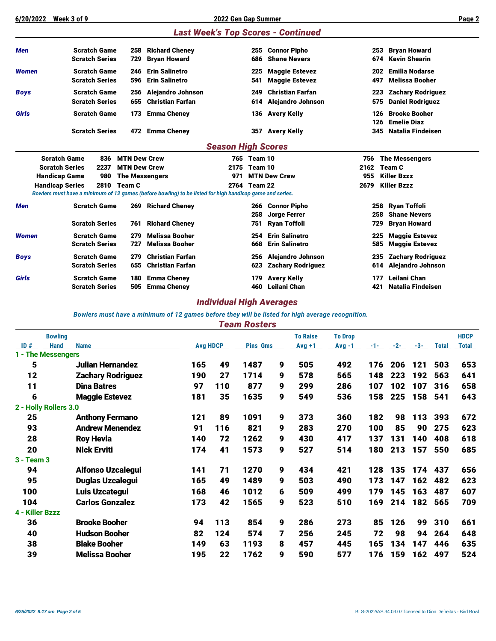|--|

| Men          | <b>Scratch Game</b>            | <b>Richard Cheney</b><br>258                                                                             |      | <b>Connor Pipho</b><br>255      | <b>Bryan Howard</b><br>253      |
|--------------|--------------------------------|----------------------------------------------------------------------------------------------------------|------|---------------------------------|---------------------------------|
|              | <b>Scratch Series</b>          | <b>Bryan Howard</b><br>729                                                                               |      | <b>Shane Nevers</b><br>686      | <b>Kevin Shearin</b><br>674     |
| Women        | <b>Scratch Game</b>            | <b>Erin Salinetro</b><br>246                                                                             |      | <b>Maggie Estevez</b><br>225    | <b>Emilia Nodarse</b><br>202    |
|              | <b>Scratch Series</b>          | <b>Erin Salinetro</b><br>596                                                                             |      | <b>Maggie Estevez</b><br>541    | <b>Melissa Booher</b><br>497    |
| <b>Boys</b>  | <b>Scratch Game</b>            | <b>Alejandro Johnson</b><br>256                                                                          |      | <b>Christian Farfan</b><br>249  | <b>Zachary Rodriguez</b><br>223 |
|              | <b>Scratch Series</b>          | <b>Christian Farfan</b><br>655                                                                           |      | Alejandro Johnson<br>614        | 575<br><b>Daniel Rodriguez</b>  |
| Girls        | <b>Scratch Game</b>            | <b>Emma Cheney</b><br>173                                                                                |      | 136 Avery Kelly                 | <b>Brooke Booher</b><br>126     |
|              |                                |                                                                                                          |      |                                 | <b>Emelie Diaz</b><br>126       |
|              | <b>Scratch Series</b>          | <b>Emma Cheney</b><br>472                                                                                |      | <b>Avery Kelly</b><br>357       | Natalia Findeisen<br>345        |
|              |                                |                                                                                                          |      | <b>Season High Scores</b>       |                                 |
|              | <b>Scratch Game</b><br>836     | <b>MTN Dew Crew</b>                                                                                      |      | 765 Team 10                     | <b>The Messengers</b><br>756    |
|              | <b>Scratch Series</b><br>2237  | <b>MTN Dew Crew</b>                                                                                      | 2175 | Team 10                         | 2162<br><b>Team C</b>           |
|              | <b>Handicap Game</b><br>980    | <b>The Messengers</b>                                                                                    | 971  | <b>MTN Dew Crew</b>             | 955<br><b>Killer Bzzz</b>       |
|              | 2810<br><b>Handicap Series</b> | <b>Team C</b>                                                                                            | 2764 | Team 22                         | <b>Killer Bzzz</b><br>2679      |
|              |                                | Bowlers must have a minimum of 12 games (before bowling) to be listed for high handicap game and series. |      |                                 |                                 |
| Men          | <b>Scratch Game</b>            | <b>Richard Cheney</b><br>269                                                                             |      | <b>Connor Pipho</b><br>266      | <b>Rvan Toffoli</b><br>258      |
|              |                                |                                                                                                          |      | 258<br><b>Jorge Ferrer</b>      | <b>Shane Nevers</b><br>258      |
|              | <b>Scratch Series</b>          | <b>Richard Cheney</b><br>761                                                                             |      | <b>Ryan Toffoli</b><br>751      | <b>Bryan Howard</b><br>729      |
| <b>Women</b> | <b>Scratch Game</b>            | <b>Melissa Booher</b><br>279                                                                             |      | <b>Erin Salinetro</b><br>254    | 225<br><b>Maggie Estevez</b>    |
|              | <b>Scratch Series</b>          | <b>Melissa Booher</b><br>727                                                                             |      | <b>Erin Salinetro</b><br>668    | 585<br><b>Maggie Estevez</b>    |
| <b>Boys</b>  | <b>Scratch Game</b>            | <b>Christian Farfan</b><br>279                                                                           |      | <b>Alejandro Johnson</b><br>256 | <b>Zachary Rodriguez</b><br>235 |
|              | <b>Scratch Series</b>          | <b>Christian Farfan</b><br>655                                                                           |      | <b>Zachary Rodriguez</b><br>623 | <b>Alejandro Johnson</b><br>614 |
| Girls        | <b>Scratch Game</b>            | <b>Emma Cheney</b><br>180                                                                                |      | <b>Avery Kelly</b><br>179       | Leilani Chan<br>177             |
|              | <b>Scratch Series</b>          | <b>Emma Cheney</b><br>505                                                                                |      | Leilani Chan<br>460             | <b>Natalia Findeisen</b><br>421 |
|              |                                |                                                                                                          |      |                                 |                                 |

## *Individual High Averages*

## *Bowlers must have a minimum of 12 games before they will be listed for high average recognition.*

*Team Rosters*

|                 | <b>Bowling</b>        |                          |                 |     |                 |   | <b>To Raise</b> | <b>To Drop</b> |       |       |       |              | <b>HDCP</b>  |  |
|-----------------|-----------------------|--------------------------|-----------------|-----|-----------------|---|-----------------|----------------|-------|-------|-------|--------------|--------------|--|
| ID#             | <b>Hand</b>           | <b>Name</b>              | <b>Avg HDCP</b> |     | <b>Pins Gms</b> |   | $Avg +1$        | $Avg -1$       | $-1-$ | $-2-$ | $-3-$ | <b>Total</b> | <b>Total</b> |  |
|                 | 1 - The Messengers    |                          |                 |     |                 |   |                 |                |       |       |       |              |              |  |
| 5               |                       | <b>Julian Hernandez</b>  | 165             | 49  | 1487            | 9 | 505             | 492            | 176   | 206   | 121   | 503          | 653          |  |
| 12              |                       | <b>Zachary Rodriguez</b> | 190             | 27  | 1714            | 9 | 578             | 565            | 148   | 223   | 192   | 563          | 641          |  |
| 11              |                       | <b>Dina Batres</b>       | 97              | 110 | 877             | 9 | 299             | 286            | 107   | 102   | 107   | 316          | 658          |  |
| 6               |                       | <b>Maggie Estevez</b>    | 181             | 35  | 1635            | 9 | 549             | 536            | 158   | 225   | 158   | 541          | 643          |  |
|                 | 2 - Holly Rollers 3.0 |                          |                 |     |                 |   |                 |                |       |       |       |              |              |  |
| 25              |                       | <b>Anthony Fermano</b>   | 121             | 89  | 1091            | 9 | 373             | 360            | 182   | 98    | 113   | 393          | 672          |  |
| 93              |                       | <b>Andrew Menendez</b>   | 91              | 116 | 821             | 9 | 283             | 270            | 100   | 85    | 90    | 275          | 623          |  |
| 28              |                       | <b>Roy Hevia</b>         | 140             | 72  | 1262            | 9 | 430             | 417            | 137   | 131   | 140   | 408          | 618          |  |
| 20              |                       | <b>Nick Erviti</b>       | 174             | 41  | 1573            | 9 | 527             | 514            | 180   | 213   | 157   | 550          | 685          |  |
| 3 - Team 3      |                       |                          |                 |     |                 |   |                 |                |       |       |       |              |              |  |
| 94              |                       | <b>Alfonso Uzcalegui</b> | 141             | 71  | 1270            | 9 | 434             | 421            | 128   | 135   | 174   | 437          | 656          |  |
| 95              |                       | Duglas Uzcalegui         | 165             | 49  | 1489            | 9 | 503             | 490            | 173   | 147   | 162   | 482          | 623          |  |
| 100             |                       | Luis Uzcategui           | 168             | 46  | 1012            | 6 | 509             | 499            | 179   | 145   | 163   | 487          | 607          |  |
| 104             |                       | <b>Carlos Gonzalez</b>   | 173             | 42  | 1565            | 9 | 523             | 510            | 169   | 214   | 182   | 565          | 709          |  |
| 4 - Killer Bzzz |                       |                          |                 |     |                 |   |                 |                |       |       |       |              |              |  |
| 36              |                       | <b>Brooke Booher</b>     | 94              | 113 | 854             | 9 | 286             | 273            | 85    | 126   | 99    | 310          | 661          |  |
| 40              |                       | <b>Hudson Booher</b>     | 82              | 124 | 574             | 7 | 256             | 245            | 72    | 98    | 94    | 264          | 648          |  |
| 38              |                       | <b>Blake Booher</b>      | 149             | 63  | 1193            | 8 | 457             | 445            | 165   | 134   | 147   | 446          | 635          |  |
| 39              |                       | <b>Melissa Booher</b>    | 195             | 22  | 1762            | 9 | 590             | 577            | 176   | 159   | 162   | 497          | 524          |  |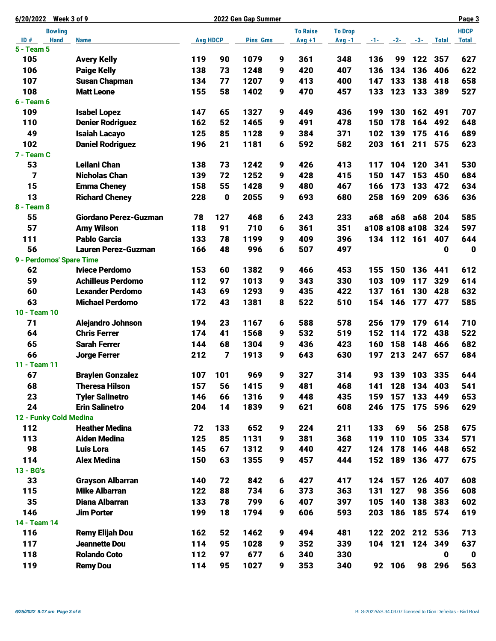| Week 3 of 9<br>6/20/2022 |                              |                 | 2022 Gen Gap Summer |                 |   |                 |                |                |             |                 |              |              |
|--------------------------|------------------------------|-----------------|---------------------|-----------------|---|-----------------|----------------|----------------|-------------|-----------------|--------------|--------------|
| <b>Bowling</b>           |                              |                 |                     |                 |   | <b>To Raise</b> | <b>To Drop</b> |                |             |                 |              | <b>HDCP</b>  |
| ID#<br><b>Hand</b>       | <b>Name</b>                  | <b>Avg HDCP</b> |                     | <b>Pins Gms</b> |   | $Avg +1$        | $Avg -1$       | $-1-$          | $-2-$       | $-3-$           | Total        | <b>Total</b> |
| 5 - Team 5               |                              |                 |                     |                 |   |                 |                |                |             |                 |              |              |
| 105                      | <b>Avery Kelly</b>           | 119             | 90                  | 1079            | 9 | 361             | 348            | 136            | 99          | 122             | 357          | 627          |
| 106                      | <b>Paige Kelly</b>           | 138             | 73                  | 1248            | 9 | 420             | 407            | 136            | 134         | 136             | 406          | 622          |
| 107                      | <b>Susan Chapman</b>         | 134             | 77                  | 1207            | 9 | 413             | 400            | 147            | 133         | 138             | 418          | 658          |
| 108                      | <b>Matt Leone</b>            | 155             | 58                  | 1402            | 9 | 470             | 457            | 133            | 123         | 133             | 389          | 527          |
| 6 - Team 6               |                              |                 |                     |                 |   |                 |                |                |             |                 |              |              |
| 109                      | <b>Isabel Lopez</b>          | 147             | 65                  | 1327            | 9 | 449             | 436            | 199            | 130         | 162             | 491          | 707          |
| 110                      | <b>Denier Rodriguez</b>      | 162             | 52                  | 1465            | 9 | 491             | 478            | 150            | 178         | 164             | 492          | 648          |
| 49                       | <b>Isaiah Lacayo</b>         | 125             | 85                  | 1128            | 9 | 384             | 371            | 102            | 139         | 175             | 416          | 689          |
| 102                      | <b>Daniel Rodriguez</b>      | 196             | 21                  | 1181            | 6 | 592             | 582            | 203            | 161         | 211             | 575          | 623          |
| 7 - Team C               |                              |                 |                     |                 |   |                 |                |                |             |                 |              |              |
| 53                       | <b>Leilani Chan</b>          | 138             | 73                  | 1242            | 9 | 426             | 413            | 117            | 104         | 120             | 341          | 530          |
| 7                        | <b>Nicholas Chan</b>         | 139             | 72                  | 1252            | 9 | 428             | 415            | 150            | 147         | 153             | 450          | 684          |
| 15                       | <b>Emma Cheney</b>           | 158             | 55                  | 1428            | 9 | 480             | 467            | 166            | 173         | 133             | 472          | 634          |
| 13                       | <b>Richard Cheney</b>        | 228             | 0                   | 2055            | 9 | 693             | 680            | 258            | 169         | 209             | 636          | 636          |
| 8 - Team 8               |                              |                 |                     |                 |   |                 |                |                |             |                 |              |              |
| 55                       | <b>Giordano Perez-Guzman</b> | 78              | 127                 | 468             | 6 | 243             | 233            | a68            | a68         | a68             | 204          | 585          |
| 57                       | <b>Amy Wilson</b>            | 118             | 91                  | 710             | 6 | 361             | 351            | a108 a108 a108 |             |                 | 324          | 597          |
| 111                      | <b>Pablo Garcia</b>          | 133             | 78                  | 1199            | 9 | 409             | 396            |                | 134 112 161 |                 | 407          | 644          |
| 56                       | <b>Lauren Perez-Guzman</b>   | 166             | 48                  | 996             | 6 | 507             | 497            |                |             |                 | $\mathbf{0}$ | $\mathbf 0$  |
| 9 - Perdomos' Spare Time |                              |                 |                     |                 |   |                 |                |                |             |                 |              |              |
| 62                       | <b>Iviece Perdomo</b>        | 153             | 60                  | 1382            | 9 | 466             | 453            | 155            | 150         | 136             | 441          | 612          |
| 59                       | <b>Achilleus Perdomo</b>     | 112             | 97                  | 1013            | 9 | 343             | 330            | 103            | 109         | 117             | 329          | 614          |
| 60                       | <b>Lexander Perdomo</b>      | 143             | 69                  | 1293            | 9 | 435             | 422            | 137            | 161         | 130             | 428          | 632          |
| 63                       | <b>Michael Perdomo</b>       | 172             | 43                  | 1381            | 8 | 522             | 510            | 154            | 146         |                 | 177 477      | 585          |
| 10 - Team 10             |                              |                 |                     |                 |   |                 |                |                |             |                 |              |              |
| 71                       | <b>Alejandro Johnson</b>     | 194             | 23                  | 1167            | 6 | 588             | 578            | 256            | 179         | 179             | 614          | 710          |
| 64                       | <b>Chris Ferrer</b>          | 174             | 41                  | 1568            | 9 | 532             | 519            | 152            | 114         | 172             | 438          | 522          |
| 65                       | <b>Sarah Ferrer</b>          | 144             | 68                  | 1304            | 9 | 436             | 423            | 160            | 158         | 148             | 466          | 682          |
| 66                       | <b>Jorge Ferrer</b>          | 212             | 7                   | 1913            | 9 | 643             | 630            | 197            | 213         | 247             | 657          | 684          |
| 11 - Team 11             |                              |                 |                     |                 |   |                 |                |                |             |                 |              |              |
| 67                       | <b>Braylen Gonzalez</b>      | 107             | 101                 | 969             | 9 | 327             | 314            | 93             | 139         |                 | 103 335      | 644          |
| 68                       | <b>Theresa Hilson</b>        | 157             | 56                  | 1415            | 9 | 481             | 468            | 141            | 128         |                 | 134 403      | 541          |
| 23                       | <b>Tyler Salinetro</b>       | 146             | 66                  | 1316            | 9 | 448             | 435            | 159            | 157         | 133             | 449          | 653          |
| 24                       | <b>Erin Salinetro</b>        | 204             | 14                  | 1839            | 9 | 621             | 608            | 246            | 175         |                 | 175 596      | 629          |
| 12 - Funky Cold Medina   |                              |                 |                     |                 |   |                 |                |                |             |                 |              |              |
| 112                      | <b>Heather Medina</b>        | 72              | 133                 | 652             | 9 | 224             | 211            | 133            | 69          | 56              | 258          | 675          |
| 113                      | <b>Aiden Medina</b>          | 125             | 85                  | 1131            | 9 | 381             | 368            | 119            | 110         | 105             | 334          | 571          |
| 98                       | <b>Luis Lora</b>             | 145             | 67                  | 1312            | 9 | 440             | 427            | 124            | 178         | 146             | 448          | 652          |
| 114                      | <b>Alex Medina</b>           | 150             | 63                  | 1355            | 9 | 457             | 444            | 152            |             | 189 136 477     |              | 675          |
| 13 - BG's                |                              |                 |                     |                 |   |                 |                |                |             |                 |              |              |
| 33                       | <b>Grayson Albarran</b>      | 140             | 72                  | 842             | 6 | 427             | 417            | 124            | 157         | 126             | 407          | 608          |
| 115                      | <b>Mike Albarran</b>         | 122             | 88                  | 734             | 6 | 373             | 363            | 131            | 127         | 98              | 356          | 608          |
| 35                       | <b>Diana Albarran</b>        | 133             | 78                  | 799             | 6 | 407             | 397            | 105            | 140         | 138             | 383          | 602          |
| 146                      | <b>Jim Porter</b>            | 199             | 18                  | 1794            | 9 | 606             | 593            | 203            | 186         | 185 574         |              | 619          |
| 14 - Team 14             |                              |                 |                     |                 |   |                 |                |                |             |                 |              |              |
| 116                      | <b>Remy Elijah Dou</b>       | 162             | 52                  | 1462            | 9 | 494             | 481            |                |             | 122 202 212 536 |              | 713          |
| 117                      | <b>Jeannette Dou</b>         | 114             | 95                  | 1028            | 9 | 352             | 339            | 104            |             | 121 124 349     |              | 637          |
| 118                      | <b>Rolando Coto</b>          | 112             | 97                  | 677             |   |                 |                |                |             |                 |              |              |
|                          |                              |                 |                     |                 | 6 | 340             | 330            |                |             |                 | 0            | $\mathbf 0$  |
| 119                      | <b>Remy Dou</b>              | 114             | 95                  | 1027            | 9 | 353             | 340            |                | 92 106      |                 | 98 296       | 563          |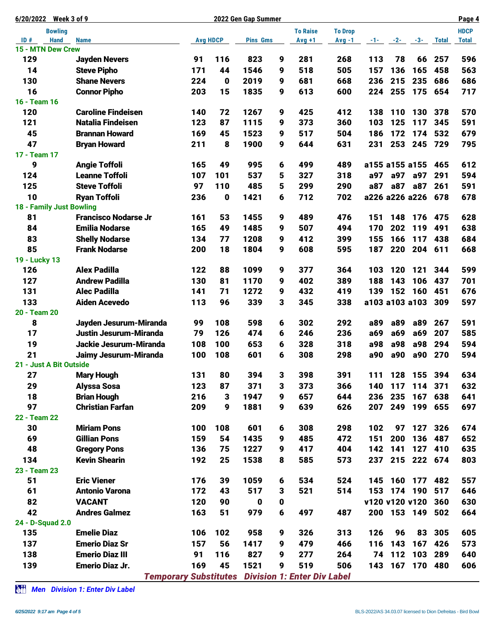| <b>Bowling</b><br><b>To Raise</b><br><b>HDCP</b><br><b>To Drop</b><br>ID#<br><b>Hand</b><br><b>Name</b><br><b>Avg HDCP</b><br><b>Pins Gms</b><br><b>Total</b><br>$Avg +1$<br>$Avg -1$<br>$-1 - 1$<br>$-2-$<br><b>Total</b><br>$-3-$<br>15 - MTN Dew Crew<br>129<br>823<br>281<br>268<br>113<br>257<br>596<br><b>Jayden Nevers</b><br>91<br>116<br>9<br>78<br>66<br>14<br>505<br>563<br><b>Steve Pipho</b><br>171<br>44<br>1546<br>518<br>157<br>136<br>165<br>458<br>9<br>681<br>686<br>130<br><b>Shane Nevers</b><br>224<br>0<br>2019<br>668<br>236<br>215<br>235<br>686<br>9<br>255<br>717<br>16<br><b>Connor Pipho</b><br>203<br>15<br>1835<br>9<br>613<br>600<br>224<br>175<br>654<br>16 - Team 16<br>120<br><b>Caroline Findeisen</b><br>140<br>72<br>1267<br>412<br>378<br>570<br>9<br>425<br>138<br>110<br>130<br>87<br>373<br>360<br>103<br>345<br>591<br>121<br><b>Natalia Findeisen</b><br>123<br>1115<br>125<br>117<br>9<br>517<br>679<br>45<br><b>Brannan Howard</b><br>169<br>45<br>1523<br>504<br>186<br>172<br>174<br>532<br>9<br>795<br>47<br>644<br>211<br>8<br>1900<br>9<br>631<br>231<br>253<br>245<br>729<br><b>Bryan Howard</b><br>17 - Team 17<br>612<br>9<br>165<br>49<br>499<br><b>Angie Toffoli</b><br>995<br>6<br>489<br>a155 a155 a155<br>465<br>594<br>124<br><b>Leanne Toffoli</b><br>107<br>101<br>537<br>327<br>318<br>291<br>5<br>a97<br>a97<br>a97<br>97<br>591<br>125<br><b>Steve Toffoli</b><br>110<br>485<br>5<br>299<br>290<br>a87<br>a87<br>a87<br>261<br>10<br>678<br><b>Ryan Toffoli</b><br>236<br>0<br>1421<br>712<br>702<br>a226 a226 a226<br>6<br>678<br>18 - Family Just Bowling<br>81<br><b>Francisco Nodarse Jr</b><br>161<br>53<br>1455<br>489<br>476<br>628<br>9<br>151<br>148<br>176<br>475<br>638<br>84<br><b>Emilia Nodarse</b><br>165<br>49<br>1485<br>507<br>494<br>170<br>202<br>119<br>491<br>9<br>684<br>83<br><b>Shelly Nodarse</b><br>134<br>77<br>1208<br>412<br>399<br>155<br>166<br>117<br>438<br>9<br>85<br>187<br>668<br><b>Frank Nodarse</b><br>200<br>18<br>1804<br>9<br>608<br>595<br>220<br>204<br>611<br>19 - Lucky 13<br>88<br><b>Alex Padilla</b><br>122<br>1099<br>377<br>364<br>344<br>599<br>126<br>9<br>103<br>120<br>121<br>402<br>389<br>701<br>127<br><b>Andrew Padilla</b><br>130<br>81<br>1170<br>188<br>143<br>437<br>9<br>106<br>152<br>131<br><b>Alec Padilla</b><br>141<br>71<br>1272<br>432<br>419<br>139<br>160<br>451<br>676<br>9<br>133<br>96<br>597<br><b>Aiden Acevedo</b><br>113<br>339<br>3<br>345<br>338<br>a103 a103 a103<br>309<br>20 - Team 20<br>8<br>99<br>108<br>598<br>302<br>292<br>591<br>Jayden Jesurum-Miranda<br>6<br>a89<br>a89<br>a89<br>267<br>17<br>Justin Jesurum-Miranda<br>79<br>126<br>474<br>246<br>236<br>a69<br>a69<br>585<br>a69<br>207<br>6<br>594<br>19<br>100<br>328<br>318<br>a98<br>294<br>Jackie Jesurum-Miranda<br>108<br>653<br>a98<br>a98<br>6<br>100<br>108<br>308<br>a90<br>a90<br>a90<br>270<br>594<br>21<br>Jaimy Jesurum-Miranda<br>601<br>6<br>298<br>21 - Just A Bit Outside<br>131<br>80<br>3<br>398<br>391<br>394<br>634<br>27<br>394<br>111<br>128<br>155<br><b>Mary Hough</b><br>29<br><b>Alyssa Sosa</b><br>123<br>87<br>371<br>373<br>632<br>366<br>140<br>117<br>114 371<br>3<br>18<br>216<br>$\mathbf{3}$<br>1947<br>657<br>644<br>236<br>235<br>641<br><b>Brian Hough</b><br>167<br>638<br>9<br>97<br>249 199<br><b>Christian Farfan</b><br>209<br>9<br>1881<br>639<br>626<br>207<br>655<br>697<br>9<br>22 - Team 22<br>30<br><b>Miriam Pons</b><br>100<br>108<br>601<br>308<br>298<br>102<br>97<br>127<br>326<br>674<br>6<br>151<br>136<br>69<br><b>Gillian Pons</b><br>159<br>54<br>1435<br>485<br>472<br>200<br>487<br>652<br>9<br>635<br>48<br><b>Gregory Pons</b><br>136<br>75<br>1227<br>417<br>404<br>142<br>141<br>127<br>9<br>410<br>25<br>803<br>134<br><b>Kevin Shearin</b><br>192<br>1538<br>585<br>573<br>237<br>215 222 674<br>8<br>23 - Team 23<br><b>Eric Viener</b><br>51<br>176<br>39<br>1059<br>534<br>524<br>160<br>557<br>145<br>177<br>482<br>6<br>61<br>153 174 190<br>517<br>646<br><b>Antonio Varona</b><br>172<br>43<br>517<br>521<br>514<br>3<br>v120 v120 v120<br>82<br><b>VACANT</b><br>120<br>90<br>360<br>630<br>0<br>0<br>42<br>163<br>51<br>979<br>6<br>153 149<br><b>Andres Galmez</b><br>497<br>487<br>200<br>664<br>502<br>24 - D-Squad 2.0<br>135<br><b>Emelie Diaz</b><br>106<br>102<br>958<br>126<br>605<br>326<br>313<br>96<br>83<br>305<br>9<br>56<br>137<br><b>Emerio Diaz Sr</b><br>157<br>1417<br>479<br>466<br>116<br>143<br>167<br>426<br>573<br>9<br><b>Emerio Diaz III</b><br>91<br>116<br>112<br>640<br>138<br>827<br>277<br>264<br>74<br>103<br>289<br>9<br>169<br>45<br>1521<br>519<br>139<br><b>Emerio Diaz Jr.</b><br>9<br>506<br>143<br>167 170<br>606<br>480<br><b>Division 1: Enter Div Label</b><br><b>Temporary Substitutes</b> | Week 3 of 9<br>6/20/2022 |  |  | 2022 Gen Gap Summer | Page 4 |  |  |  |  |  |  |
|----------------------------------------------------------------------------------------------------------------------------------------------------------------------------------------------------------------------------------------------------------------------------------------------------------------------------------------------------------------------------------------------------------------------------------------------------------------------------------------------------------------------------------------------------------------------------------------------------------------------------------------------------------------------------------------------------------------------------------------------------------------------------------------------------------------------------------------------------------------------------------------------------------------------------------------------------------------------------------------------------------------------------------------------------------------------------------------------------------------------------------------------------------------------------------------------------------------------------------------------------------------------------------------------------------------------------------------------------------------------------------------------------------------------------------------------------------------------------------------------------------------------------------------------------------------------------------------------------------------------------------------------------------------------------------------------------------------------------------------------------------------------------------------------------------------------------------------------------------------------------------------------------------------------------------------------------------------------------------------------------------------------------------------------------------------------------------------------------------------------------------------------------------------------------------------------------------------------------------------------------------------------------------------------------------------------------------------------------------------------------------------------------------------------------------------------------------------------------------------------------------------------------------------------------------------------------------------------------------------------------------------------------------------------------------------------------------------------------------------------------------------------------------------------------------------------------------------------------------------------------------------------------------------------------------------------------------------------------------------------------------------------------------------------------------------------------------------------------------------------------------------------------------------------------------------------------------------------------------------------------------------------------------------------------------------------------------------------------------------------------------------------------------------------------------------------------------------------------------------------------------------------------------------------------------------------------------------------------------------------------------------------------------------------------------------------------------------------------------------------------------------------------------------------------------------------------------------------------------------------------------------------------------------------------------------------------------------------------------------------------------------------------------------------------------------------------------------------------------------------------------------------------------------------------------------------------------------------------------------------------------------------------------------------------------------------------------------------------------------------------------------------------------------------------------------------------------------------------------------------------------------------------------------------------------------------------------------------------------------------------------------------------------------------------------------------------------------------------------------------------------------------------------------------------------------------------------------|--------------------------|--|--|---------------------|--------|--|--|--|--|--|--|
|                                                                                                                                                                                                                                                                                                                                                                                                                                                                                                                                                                                                                                                                                                                                                                                                                                                                                                                                                                                                                                                                                                                                                                                                                                                                                                                                                                                                                                                                                                                                                                                                                                                                                                                                                                                                                                                                                                                                                                                                                                                                                                                                                                                                                                                                                                                                                                                                                                                                                                                                                                                                                                                                                                                                                                                                                                                                                                                                                                                                                                                                                                                                                                                                                                                                                                                                                                                                                                                                                                                                                                                                                                                                                                                                                                                                                                                                                                                                                                                                                                                                                                                                                                                                                                                                                                                                                                                                                                                                                                                                                                                                                                                                                                                                                                                                                                        |                          |  |  |                     |        |  |  |  |  |  |  |
|                                                                                                                                                                                                                                                                                                                                                                                                                                                                                                                                                                                                                                                                                                                                                                                                                                                                                                                                                                                                                                                                                                                                                                                                                                                                                                                                                                                                                                                                                                                                                                                                                                                                                                                                                                                                                                                                                                                                                                                                                                                                                                                                                                                                                                                                                                                                                                                                                                                                                                                                                                                                                                                                                                                                                                                                                                                                                                                                                                                                                                                                                                                                                                                                                                                                                                                                                                                                                                                                                                                                                                                                                                                                                                                                                                                                                                                                                                                                                                                                                                                                                                                                                                                                                                                                                                                                                                                                                                                                                                                                                                                                                                                                                                                                                                                                                                        |                          |  |  |                     |        |  |  |  |  |  |  |
|                                                                                                                                                                                                                                                                                                                                                                                                                                                                                                                                                                                                                                                                                                                                                                                                                                                                                                                                                                                                                                                                                                                                                                                                                                                                                                                                                                                                                                                                                                                                                                                                                                                                                                                                                                                                                                                                                                                                                                                                                                                                                                                                                                                                                                                                                                                                                                                                                                                                                                                                                                                                                                                                                                                                                                                                                                                                                                                                                                                                                                                                                                                                                                                                                                                                                                                                                                                                                                                                                                                                                                                                                                                                                                                                                                                                                                                                                                                                                                                                                                                                                                                                                                                                                                                                                                                                                                                                                                                                                                                                                                                                                                                                                                                                                                                                                                        |                          |  |  |                     |        |  |  |  |  |  |  |
|                                                                                                                                                                                                                                                                                                                                                                                                                                                                                                                                                                                                                                                                                                                                                                                                                                                                                                                                                                                                                                                                                                                                                                                                                                                                                                                                                                                                                                                                                                                                                                                                                                                                                                                                                                                                                                                                                                                                                                                                                                                                                                                                                                                                                                                                                                                                                                                                                                                                                                                                                                                                                                                                                                                                                                                                                                                                                                                                                                                                                                                                                                                                                                                                                                                                                                                                                                                                                                                                                                                                                                                                                                                                                                                                                                                                                                                                                                                                                                                                                                                                                                                                                                                                                                                                                                                                                                                                                                                                                                                                                                                                                                                                                                                                                                                                                                        |                          |  |  |                     |        |  |  |  |  |  |  |
|                                                                                                                                                                                                                                                                                                                                                                                                                                                                                                                                                                                                                                                                                                                                                                                                                                                                                                                                                                                                                                                                                                                                                                                                                                                                                                                                                                                                                                                                                                                                                                                                                                                                                                                                                                                                                                                                                                                                                                                                                                                                                                                                                                                                                                                                                                                                                                                                                                                                                                                                                                                                                                                                                                                                                                                                                                                                                                                                                                                                                                                                                                                                                                                                                                                                                                                                                                                                                                                                                                                                                                                                                                                                                                                                                                                                                                                                                                                                                                                                                                                                                                                                                                                                                                                                                                                                                                                                                                                                                                                                                                                                                                                                                                                                                                                                                                        |                          |  |  |                     |        |  |  |  |  |  |  |
|                                                                                                                                                                                                                                                                                                                                                                                                                                                                                                                                                                                                                                                                                                                                                                                                                                                                                                                                                                                                                                                                                                                                                                                                                                                                                                                                                                                                                                                                                                                                                                                                                                                                                                                                                                                                                                                                                                                                                                                                                                                                                                                                                                                                                                                                                                                                                                                                                                                                                                                                                                                                                                                                                                                                                                                                                                                                                                                                                                                                                                                                                                                                                                                                                                                                                                                                                                                                                                                                                                                                                                                                                                                                                                                                                                                                                                                                                                                                                                                                                                                                                                                                                                                                                                                                                                                                                                                                                                                                                                                                                                                                                                                                                                                                                                                                                                        |                          |  |  |                     |        |  |  |  |  |  |  |
|                                                                                                                                                                                                                                                                                                                                                                                                                                                                                                                                                                                                                                                                                                                                                                                                                                                                                                                                                                                                                                                                                                                                                                                                                                                                                                                                                                                                                                                                                                                                                                                                                                                                                                                                                                                                                                                                                                                                                                                                                                                                                                                                                                                                                                                                                                                                                                                                                                                                                                                                                                                                                                                                                                                                                                                                                                                                                                                                                                                                                                                                                                                                                                                                                                                                                                                                                                                                                                                                                                                                                                                                                                                                                                                                                                                                                                                                                                                                                                                                                                                                                                                                                                                                                                                                                                                                                                                                                                                                                                                                                                                                                                                                                                                                                                                                                                        |                          |  |  |                     |        |  |  |  |  |  |  |
|                                                                                                                                                                                                                                                                                                                                                                                                                                                                                                                                                                                                                                                                                                                                                                                                                                                                                                                                                                                                                                                                                                                                                                                                                                                                                                                                                                                                                                                                                                                                                                                                                                                                                                                                                                                                                                                                                                                                                                                                                                                                                                                                                                                                                                                                                                                                                                                                                                                                                                                                                                                                                                                                                                                                                                                                                                                                                                                                                                                                                                                                                                                                                                                                                                                                                                                                                                                                                                                                                                                                                                                                                                                                                                                                                                                                                                                                                                                                                                                                                                                                                                                                                                                                                                                                                                                                                                                                                                                                                                                                                                                                                                                                                                                                                                                                                                        |                          |  |  |                     |        |  |  |  |  |  |  |
|                                                                                                                                                                                                                                                                                                                                                                                                                                                                                                                                                                                                                                                                                                                                                                                                                                                                                                                                                                                                                                                                                                                                                                                                                                                                                                                                                                                                                                                                                                                                                                                                                                                                                                                                                                                                                                                                                                                                                                                                                                                                                                                                                                                                                                                                                                                                                                                                                                                                                                                                                                                                                                                                                                                                                                                                                                                                                                                                                                                                                                                                                                                                                                                                                                                                                                                                                                                                                                                                                                                                                                                                                                                                                                                                                                                                                                                                                                                                                                                                                                                                                                                                                                                                                                                                                                                                                                                                                                                                                                                                                                                                                                                                                                                                                                                                                                        |                          |  |  |                     |        |  |  |  |  |  |  |
|                                                                                                                                                                                                                                                                                                                                                                                                                                                                                                                                                                                                                                                                                                                                                                                                                                                                                                                                                                                                                                                                                                                                                                                                                                                                                                                                                                                                                                                                                                                                                                                                                                                                                                                                                                                                                                                                                                                                                                                                                                                                                                                                                                                                                                                                                                                                                                                                                                                                                                                                                                                                                                                                                                                                                                                                                                                                                                                                                                                                                                                                                                                                                                                                                                                                                                                                                                                                                                                                                                                                                                                                                                                                                                                                                                                                                                                                                                                                                                                                                                                                                                                                                                                                                                                                                                                                                                                                                                                                                                                                                                                                                                                                                                                                                                                                                                        |                          |  |  |                     |        |  |  |  |  |  |  |
|                                                                                                                                                                                                                                                                                                                                                                                                                                                                                                                                                                                                                                                                                                                                                                                                                                                                                                                                                                                                                                                                                                                                                                                                                                                                                                                                                                                                                                                                                                                                                                                                                                                                                                                                                                                                                                                                                                                                                                                                                                                                                                                                                                                                                                                                                                                                                                                                                                                                                                                                                                                                                                                                                                                                                                                                                                                                                                                                                                                                                                                                                                                                                                                                                                                                                                                                                                                                                                                                                                                                                                                                                                                                                                                                                                                                                                                                                                                                                                                                                                                                                                                                                                                                                                                                                                                                                                                                                                                                                                                                                                                                                                                                                                                                                                                                                                        |                          |  |  |                     |        |  |  |  |  |  |  |
|                                                                                                                                                                                                                                                                                                                                                                                                                                                                                                                                                                                                                                                                                                                                                                                                                                                                                                                                                                                                                                                                                                                                                                                                                                                                                                                                                                                                                                                                                                                                                                                                                                                                                                                                                                                                                                                                                                                                                                                                                                                                                                                                                                                                                                                                                                                                                                                                                                                                                                                                                                                                                                                                                                                                                                                                                                                                                                                                                                                                                                                                                                                                                                                                                                                                                                                                                                                                                                                                                                                                                                                                                                                                                                                                                                                                                                                                                                                                                                                                                                                                                                                                                                                                                                                                                                                                                                                                                                                                                                                                                                                                                                                                                                                                                                                                                                        |                          |  |  |                     |        |  |  |  |  |  |  |
|                                                                                                                                                                                                                                                                                                                                                                                                                                                                                                                                                                                                                                                                                                                                                                                                                                                                                                                                                                                                                                                                                                                                                                                                                                                                                                                                                                                                                                                                                                                                                                                                                                                                                                                                                                                                                                                                                                                                                                                                                                                                                                                                                                                                                                                                                                                                                                                                                                                                                                                                                                                                                                                                                                                                                                                                                                                                                                                                                                                                                                                                                                                                                                                                                                                                                                                                                                                                                                                                                                                                                                                                                                                                                                                                                                                                                                                                                                                                                                                                                                                                                                                                                                                                                                                                                                                                                                                                                                                                                                                                                                                                                                                                                                                                                                                                                                        |                          |  |  |                     |        |  |  |  |  |  |  |
|                                                                                                                                                                                                                                                                                                                                                                                                                                                                                                                                                                                                                                                                                                                                                                                                                                                                                                                                                                                                                                                                                                                                                                                                                                                                                                                                                                                                                                                                                                                                                                                                                                                                                                                                                                                                                                                                                                                                                                                                                                                                                                                                                                                                                                                                                                                                                                                                                                                                                                                                                                                                                                                                                                                                                                                                                                                                                                                                                                                                                                                                                                                                                                                                                                                                                                                                                                                                                                                                                                                                                                                                                                                                                                                                                                                                                                                                                                                                                                                                                                                                                                                                                                                                                                                                                                                                                                                                                                                                                                                                                                                                                                                                                                                                                                                                                                        |                          |  |  |                     |        |  |  |  |  |  |  |
|                                                                                                                                                                                                                                                                                                                                                                                                                                                                                                                                                                                                                                                                                                                                                                                                                                                                                                                                                                                                                                                                                                                                                                                                                                                                                                                                                                                                                                                                                                                                                                                                                                                                                                                                                                                                                                                                                                                                                                                                                                                                                                                                                                                                                                                                                                                                                                                                                                                                                                                                                                                                                                                                                                                                                                                                                                                                                                                                                                                                                                                                                                                                                                                                                                                                                                                                                                                                                                                                                                                                                                                                                                                                                                                                                                                                                                                                                                                                                                                                                                                                                                                                                                                                                                                                                                                                                                                                                                                                                                                                                                                                                                                                                                                                                                                                                                        |                          |  |  |                     |        |  |  |  |  |  |  |
|                                                                                                                                                                                                                                                                                                                                                                                                                                                                                                                                                                                                                                                                                                                                                                                                                                                                                                                                                                                                                                                                                                                                                                                                                                                                                                                                                                                                                                                                                                                                                                                                                                                                                                                                                                                                                                                                                                                                                                                                                                                                                                                                                                                                                                                                                                                                                                                                                                                                                                                                                                                                                                                                                                                                                                                                                                                                                                                                                                                                                                                                                                                                                                                                                                                                                                                                                                                                                                                                                                                                                                                                                                                                                                                                                                                                                                                                                                                                                                                                                                                                                                                                                                                                                                                                                                                                                                                                                                                                                                                                                                                                                                                                                                                                                                                                                                        |                          |  |  |                     |        |  |  |  |  |  |  |
|                                                                                                                                                                                                                                                                                                                                                                                                                                                                                                                                                                                                                                                                                                                                                                                                                                                                                                                                                                                                                                                                                                                                                                                                                                                                                                                                                                                                                                                                                                                                                                                                                                                                                                                                                                                                                                                                                                                                                                                                                                                                                                                                                                                                                                                                                                                                                                                                                                                                                                                                                                                                                                                                                                                                                                                                                                                                                                                                                                                                                                                                                                                                                                                                                                                                                                                                                                                                                                                                                                                                                                                                                                                                                                                                                                                                                                                                                                                                                                                                                                                                                                                                                                                                                                                                                                                                                                                                                                                                                                                                                                                                                                                                                                                                                                                                                                        |                          |  |  |                     |        |  |  |  |  |  |  |
|                                                                                                                                                                                                                                                                                                                                                                                                                                                                                                                                                                                                                                                                                                                                                                                                                                                                                                                                                                                                                                                                                                                                                                                                                                                                                                                                                                                                                                                                                                                                                                                                                                                                                                                                                                                                                                                                                                                                                                                                                                                                                                                                                                                                                                                                                                                                                                                                                                                                                                                                                                                                                                                                                                                                                                                                                                                                                                                                                                                                                                                                                                                                                                                                                                                                                                                                                                                                                                                                                                                                                                                                                                                                                                                                                                                                                                                                                                                                                                                                                                                                                                                                                                                                                                                                                                                                                                                                                                                                                                                                                                                                                                                                                                                                                                                                                                        |                          |  |  |                     |        |  |  |  |  |  |  |
|                                                                                                                                                                                                                                                                                                                                                                                                                                                                                                                                                                                                                                                                                                                                                                                                                                                                                                                                                                                                                                                                                                                                                                                                                                                                                                                                                                                                                                                                                                                                                                                                                                                                                                                                                                                                                                                                                                                                                                                                                                                                                                                                                                                                                                                                                                                                                                                                                                                                                                                                                                                                                                                                                                                                                                                                                                                                                                                                                                                                                                                                                                                                                                                                                                                                                                                                                                                                                                                                                                                                                                                                                                                                                                                                                                                                                                                                                                                                                                                                                                                                                                                                                                                                                                                                                                                                                                                                                                                                                                                                                                                                                                                                                                                                                                                                                                        |                          |  |  |                     |        |  |  |  |  |  |  |
|                                                                                                                                                                                                                                                                                                                                                                                                                                                                                                                                                                                                                                                                                                                                                                                                                                                                                                                                                                                                                                                                                                                                                                                                                                                                                                                                                                                                                                                                                                                                                                                                                                                                                                                                                                                                                                                                                                                                                                                                                                                                                                                                                                                                                                                                                                                                                                                                                                                                                                                                                                                                                                                                                                                                                                                                                                                                                                                                                                                                                                                                                                                                                                                                                                                                                                                                                                                                                                                                                                                                                                                                                                                                                                                                                                                                                                                                                                                                                                                                                                                                                                                                                                                                                                                                                                                                                                                                                                                                                                                                                                                                                                                                                                                                                                                                                                        |                          |  |  |                     |        |  |  |  |  |  |  |
|                                                                                                                                                                                                                                                                                                                                                                                                                                                                                                                                                                                                                                                                                                                                                                                                                                                                                                                                                                                                                                                                                                                                                                                                                                                                                                                                                                                                                                                                                                                                                                                                                                                                                                                                                                                                                                                                                                                                                                                                                                                                                                                                                                                                                                                                                                                                                                                                                                                                                                                                                                                                                                                                                                                                                                                                                                                                                                                                                                                                                                                                                                                                                                                                                                                                                                                                                                                                                                                                                                                                                                                                                                                                                                                                                                                                                                                                                                                                                                                                                                                                                                                                                                                                                                                                                                                                                                                                                                                                                                                                                                                                                                                                                                                                                                                                                                        |                          |  |  |                     |        |  |  |  |  |  |  |
|                                                                                                                                                                                                                                                                                                                                                                                                                                                                                                                                                                                                                                                                                                                                                                                                                                                                                                                                                                                                                                                                                                                                                                                                                                                                                                                                                                                                                                                                                                                                                                                                                                                                                                                                                                                                                                                                                                                                                                                                                                                                                                                                                                                                                                                                                                                                                                                                                                                                                                                                                                                                                                                                                                                                                                                                                                                                                                                                                                                                                                                                                                                                                                                                                                                                                                                                                                                                                                                                                                                                                                                                                                                                                                                                                                                                                                                                                                                                                                                                                                                                                                                                                                                                                                                                                                                                                                                                                                                                                                                                                                                                                                                                                                                                                                                                                                        |                          |  |  |                     |        |  |  |  |  |  |  |
|                                                                                                                                                                                                                                                                                                                                                                                                                                                                                                                                                                                                                                                                                                                                                                                                                                                                                                                                                                                                                                                                                                                                                                                                                                                                                                                                                                                                                                                                                                                                                                                                                                                                                                                                                                                                                                                                                                                                                                                                                                                                                                                                                                                                                                                                                                                                                                                                                                                                                                                                                                                                                                                                                                                                                                                                                                                                                                                                                                                                                                                                                                                                                                                                                                                                                                                                                                                                                                                                                                                                                                                                                                                                                                                                                                                                                                                                                                                                                                                                                                                                                                                                                                                                                                                                                                                                                                                                                                                                                                                                                                                                                                                                                                                                                                                                                                        |                          |  |  |                     |        |  |  |  |  |  |  |
|                                                                                                                                                                                                                                                                                                                                                                                                                                                                                                                                                                                                                                                                                                                                                                                                                                                                                                                                                                                                                                                                                                                                                                                                                                                                                                                                                                                                                                                                                                                                                                                                                                                                                                                                                                                                                                                                                                                                                                                                                                                                                                                                                                                                                                                                                                                                                                                                                                                                                                                                                                                                                                                                                                                                                                                                                                                                                                                                                                                                                                                                                                                                                                                                                                                                                                                                                                                                                                                                                                                                                                                                                                                                                                                                                                                                                                                                                                                                                                                                                                                                                                                                                                                                                                                                                                                                                                                                                                                                                                                                                                                                                                                                                                                                                                                                                                        |                          |  |  |                     |        |  |  |  |  |  |  |
|                                                                                                                                                                                                                                                                                                                                                                                                                                                                                                                                                                                                                                                                                                                                                                                                                                                                                                                                                                                                                                                                                                                                                                                                                                                                                                                                                                                                                                                                                                                                                                                                                                                                                                                                                                                                                                                                                                                                                                                                                                                                                                                                                                                                                                                                                                                                                                                                                                                                                                                                                                                                                                                                                                                                                                                                                                                                                                                                                                                                                                                                                                                                                                                                                                                                                                                                                                                                                                                                                                                                                                                                                                                                                                                                                                                                                                                                                                                                                                                                                                                                                                                                                                                                                                                                                                                                                                                                                                                                                                                                                                                                                                                                                                                                                                                                                                        |                          |  |  |                     |        |  |  |  |  |  |  |
|                                                                                                                                                                                                                                                                                                                                                                                                                                                                                                                                                                                                                                                                                                                                                                                                                                                                                                                                                                                                                                                                                                                                                                                                                                                                                                                                                                                                                                                                                                                                                                                                                                                                                                                                                                                                                                                                                                                                                                                                                                                                                                                                                                                                                                                                                                                                                                                                                                                                                                                                                                                                                                                                                                                                                                                                                                                                                                                                                                                                                                                                                                                                                                                                                                                                                                                                                                                                                                                                                                                                                                                                                                                                                                                                                                                                                                                                                                                                                                                                                                                                                                                                                                                                                                                                                                                                                                                                                                                                                                                                                                                                                                                                                                                                                                                                                                        |                          |  |  |                     |        |  |  |  |  |  |  |
|                                                                                                                                                                                                                                                                                                                                                                                                                                                                                                                                                                                                                                                                                                                                                                                                                                                                                                                                                                                                                                                                                                                                                                                                                                                                                                                                                                                                                                                                                                                                                                                                                                                                                                                                                                                                                                                                                                                                                                                                                                                                                                                                                                                                                                                                                                                                                                                                                                                                                                                                                                                                                                                                                                                                                                                                                                                                                                                                                                                                                                                                                                                                                                                                                                                                                                                                                                                                                                                                                                                                                                                                                                                                                                                                                                                                                                                                                                                                                                                                                                                                                                                                                                                                                                                                                                                                                                                                                                                                                                                                                                                                                                                                                                                                                                                                                                        |                          |  |  |                     |        |  |  |  |  |  |  |
|                                                                                                                                                                                                                                                                                                                                                                                                                                                                                                                                                                                                                                                                                                                                                                                                                                                                                                                                                                                                                                                                                                                                                                                                                                                                                                                                                                                                                                                                                                                                                                                                                                                                                                                                                                                                                                                                                                                                                                                                                                                                                                                                                                                                                                                                                                                                                                                                                                                                                                                                                                                                                                                                                                                                                                                                                                                                                                                                                                                                                                                                                                                                                                                                                                                                                                                                                                                                                                                                                                                                                                                                                                                                                                                                                                                                                                                                                                                                                                                                                                                                                                                                                                                                                                                                                                                                                                                                                                                                                                                                                                                                                                                                                                                                                                                                                                        |                          |  |  |                     |        |  |  |  |  |  |  |
|                                                                                                                                                                                                                                                                                                                                                                                                                                                                                                                                                                                                                                                                                                                                                                                                                                                                                                                                                                                                                                                                                                                                                                                                                                                                                                                                                                                                                                                                                                                                                                                                                                                                                                                                                                                                                                                                                                                                                                                                                                                                                                                                                                                                                                                                                                                                                                                                                                                                                                                                                                                                                                                                                                                                                                                                                                                                                                                                                                                                                                                                                                                                                                                                                                                                                                                                                                                                                                                                                                                                                                                                                                                                                                                                                                                                                                                                                                                                                                                                                                                                                                                                                                                                                                                                                                                                                                                                                                                                                                                                                                                                                                                                                                                                                                                                                                        |                          |  |  |                     |        |  |  |  |  |  |  |
|                                                                                                                                                                                                                                                                                                                                                                                                                                                                                                                                                                                                                                                                                                                                                                                                                                                                                                                                                                                                                                                                                                                                                                                                                                                                                                                                                                                                                                                                                                                                                                                                                                                                                                                                                                                                                                                                                                                                                                                                                                                                                                                                                                                                                                                                                                                                                                                                                                                                                                                                                                                                                                                                                                                                                                                                                                                                                                                                                                                                                                                                                                                                                                                                                                                                                                                                                                                                                                                                                                                                                                                                                                                                                                                                                                                                                                                                                                                                                                                                                                                                                                                                                                                                                                                                                                                                                                                                                                                                                                                                                                                                                                                                                                                                                                                                                                        |                          |  |  |                     |        |  |  |  |  |  |  |
|                                                                                                                                                                                                                                                                                                                                                                                                                                                                                                                                                                                                                                                                                                                                                                                                                                                                                                                                                                                                                                                                                                                                                                                                                                                                                                                                                                                                                                                                                                                                                                                                                                                                                                                                                                                                                                                                                                                                                                                                                                                                                                                                                                                                                                                                                                                                                                                                                                                                                                                                                                                                                                                                                                                                                                                                                                                                                                                                                                                                                                                                                                                                                                                                                                                                                                                                                                                                                                                                                                                                                                                                                                                                                                                                                                                                                                                                                                                                                                                                                                                                                                                                                                                                                                                                                                                                                                                                                                                                                                                                                                                                                                                                                                                                                                                                                                        |                          |  |  |                     |        |  |  |  |  |  |  |
|                                                                                                                                                                                                                                                                                                                                                                                                                                                                                                                                                                                                                                                                                                                                                                                                                                                                                                                                                                                                                                                                                                                                                                                                                                                                                                                                                                                                                                                                                                                                                                                                                                                                                                                                                                                                                                                                                                                                                                                                                                                                                                                                                                                                                                                                                                                                                                                                                                                                                                                                                                                                                                                                                                                                                                                                                                                                                                                                                                                                                                                                                                                                                                                                                                                                                                                                                                                                                                                                                                                                                                                                                                                                                                                                                                                                                                                                                                                                                                                                                                                                                                                                                                                                                                                                                                                                                                                                                                                                                                                                                                                                                                                                                                                                                                                                                                        |                          |  |  |                     |        |  |  |  |  |  |  |
|                                                                                                                                                                                                                                                                                                                                                                                                                                                                                                                                                                                                                                                                                                                                                                                                                                                                                                                                                                                                                                                                                                                                                                                                                                                                                                                                                                                                                                                                                                                                                                                                                                                                                                                                                                                                                                                                                                                                                                                                                                                                                                                                                                                                                                                                                                                                                                                                                                                                                                                                                                                                                                                                                                                                                                                                                                                                                                                                                                                                                                                                                                                                                                                                                                                                                                                                                                                                                                                                                                                                                                                                                                                                                                                                                                                                                                                                                                                                                                                                                                                                                                                                                                                                                                                                                                                                                                                                                                                                                                                                                                                                                                                                                                                                                                                                                                        |                          |  |  |                     |        |  |  |  |  |  |  |
|                                                                                                                                                                                                                                                                                                                                                                                                                                                                                                                                                                                                                                                                                                                                                                                                                                                                                                                                                                                                                                                                                                                                                                                                                                                                                                                                                                                                                                                                                                                                                                                                                                                                                                                                                                                                                                                                                                                                                                                                                                                                                                                                                                                                                                                                                                                                                                                                                                                                                                                                                                                                                                                                                                                                                                                                                                                                                                                                                                                                                                                                                                                                                                                                                                                                                                                                                                                                                                                                                                                                                                                                                                                                                                                                                                                                                                                                                                                                                                                                                                                                                                                                                                                                                                                                                                                                                                                                                                                                                                                                                                                                                                                                                                                                                                                                                                        |                          |  |  |                     |        |  |  |  |  |  |  |
|                                                                                                                                                                                                                                                                                                                                                                                                                                                                                                                                                                                                                                                                                                                                                                                                                                                                                                                                                                                                                                                                                                                                                                                                                                                                                                                                                                                                                                                                                                                                                                                                                                                                                                                                                                                                                                                                                                                                                                                                                                                                                                                                                                                                                                                                                                                                                                                                                                                                                                                                                                                                                                                                                                                                                                                                                                                                                                                                                                                                                                                                                                                                                                                                                                                                                                                                                                                                                                                                                                                                                                                                                                                                                                                                                                                                                                                                                                                                                                                                                                                                                                                                                                                                                                                                                                                                                                                                                                                                                                                                                                                                                                                                                                                                                                                                                                        |                          |  |  |                     |        |  |  |  |  |  |  |
|                                                                                                                                                                                                                                                                                                                                                                                                                                                                                                                                                                                                                                                                                                                                                                                                                                                                                                                                                                                                                                                                                                                                                                                                                                                                                                                                                                                                                                                                                                                                                                                                                                                                                                                                                                                                                                                                                                                                                                                                                                                                                                                                                                                                                                                                                                                                                                                                                                                                                                                                                                                                                                                                                                                                                                                                                                                                                                                                                                                                                                                                                                                                                                                                                                                                                                                                                                                                                                                                                                                                                                                                                                                                                                                                                                                                                                                                                                                                                                                                                                                                                                                                                                                                                                                                                                                                                                                                                                                                                                                                                                                                                                                                                                                                                                                                                                        |                          |  |  |                     |        |  |  |  |  |  |  |
|                                                                                                                                                                                                                                                                                                                                                                                                                                                                                                                                                                                                                                                                                                                                                                                                                                                                                                                                                                                                                                                                                                                                                                                                                                                                                                                                                                                                                                                                                                                                                                                                                                                                                                                                                                                                                                                                                                                                                                                                                                                                                                                                                                                                                                                                                                                                                                                                                                                                                                                                                                                                                                                                                                                                                                                                                                                                                                                                                                                                                                                                                                                                                                                                                                                                                                                                                                                                                                                                                                                                                                                                                                                                                                                                                                                                                                                                                                                                                                                                                                                                                                                                                                                                                                                                                                                                                                                                                                                                                                                                                                                                                                                                                                                                                                                                                                        |                          |  |  |                     |        |  |  |  |  |  |  |
|                                                                                                                                                                                                                                                                                                                                                                                                                                                                                                                                                                                                                                                                                                                                                                                                                                                                                                                                                                                                                                                                                                                                                                                                                                                                                                                                                                                                                                                                                                                                                                                                                                                                                                                                                                                                                                                                                                                                                                                                                                                                                                                                                                                                                                                                                                                                                                                                                                                                                                                                                                                                                                                                                                                                                                                                                                                                                                                                                                                                                                                                                                                                                                                                                                                                                                                                                                                                                                                                                                                                                                                                                                                                                                                                                                                                                                                                                                                                                                                                                                                                                                                                                                                                                                                                                                                                                                                                                                                                                                                                                                                                                                                                                                                                                                                                                                        |                          |  |  |                     |        |  |  |  |  |  |  |
|                                                                                                                                                                                                                                                                                                                                                                                                                                                                                                                                                                                                                                                                                                                                                                                                                                                                                                                                                                                                                                                                                                                                                                                                                                                                                                                                                                                                                                                                                                                                                                                                                                                                                                                                                                                                                                                                                                                                                                                                                                                                                                                                                                                                                                                                                                                                                                                                                                                                                                                                                                                                                                                                                                                                                                                                                                                                                                                                                                                                                                                                                                                                                                                                                                                                                                                                                                                                                                                                                                                                                                                                                                                                                                                                                                                                                                                                                                                                                                                                                                                                                                                                                                                                                                                                                                                                                                                                                                                                                                                                                                                                                                                                                                                                                                                                                                        |                          |  |  |                     |        |  |  |  |  |  |  |
|                                                                                                                                                                                                                                                                                                                                                                                                                                                                                                                                                                                                                                                                                                                                                                                                                                                                                                                                                                                                                                                                                                                                                                                                                                                                                                                                                                                                                                                                                                                                                                                                                                                                                                                                                                                                                                                                                                                                                                                                                                                                                                                                                                                                                                                                                                                                                                                                                                                                                                                                                                                                                                                                                                                                                                                                                                                                                                                                                                                                                                                                                                                                                                                                                                                                                                                                                                                                                                                                                                                                                                                                                                                                                                                                                                                                                                                                                                                                                                                                                                                                                                                                                                                                                                                                                                                                                                                                                                                                                                                                                                                                                                                                                                                                                                                                                                        |                          |  |  |                     |        |  |  |  |  |  |  |
|                                                                                                                                                                                                                                                                                                                                                                                                                                                                                                                                                                                                                                                                                                                                                                                                                                                                                                                                                                                                                                                                                                                                                                                                                                                                                                                                                                                                                                                                                                                                                                                                                                                                                                                                                                                                                                                                                                                                                                                                                                                                                                                                                                                                                                                                                                                                                                                                                                                                                                                                                                                                                                                                                                                                                                                                                                                                                                                                                                                                                                                                                                                                                                                                                                                                                                                                                                                                                                                                                                                                                                                                                                                                                                                                                                                                                                                                                                                                                                                                                                                                                                                                                                                                                                                                                                                                                                                                                                                                                                                                                                                                                                                                                                                                                                                                                                        |                          |  |  |                     |        |  |  |  |  |  |  |
|                                                                                                                                                                                                                                                                                                                                                                                                                                                                                                                                                                                                                                                                                                                                                                                                                                                                                                                                                                                                                                                                                                                                                                                                                                                                                                                                                                                                                                                                                                                                                                                                                                                                                                                                                                                                                                                                                                                                                                                                                                                                                                                                                                                                                                                                                                                                                                                                                                                                                                                                                                                                                                                                                                                                                                                                                                                                                                                                                                                                                                                                                                                                                                                                                                                                                                                                                                                                                                                                                                                                                                                                                                                                                                                                                                                                                                                                                                                                                                                                                                                                                                                                                                                                                                                                                                                                                                                                                                                                                                                                                                                                                                                                                                                                                                                                                                        |                          |  |  |                     |        |  |  |  |  |  |  |
|                                                                                                                                                                                                                                                                                                                                                                                                                                                                                                                                                                                                                                                                                                                                                                                                                                                                                                                                                                                                                                                                                                                                                                                                                                                                                                                                                                                                                                                                                                                                                                                                                                                                                                                                                                                                                                                                                                                                                                                                                                                                                                                                                                                                                                                                                                                                                                                                                                                                                                                                                                                                                                                                                                                                                                                                                                                                                                                                                                                                                                                                                                                                                                                                                                                                                                                                                                                                                                                                                                                                                                                                                                                                                                                                                                                                                                                                                                                                                                                                                                                                                                                                                                                                                                                                                                                                                                                                                                                                                                                                                                                                                                                                                                                                                                                                                                        |                          |  |  |                     |        |  |  |  |  |  |  |
|                                                                                                                                                                                                                                                                                                                                                                                                                                                                                                                                                                                                                                                                                                                                                                                                                                                                                                                                                                                                                                                                                                                                                                                                                                                                                                                                                                                                                                                                                                                                                                                                                                                                                                                                                                                                                                                                                                                                                                                                                                                                                                                                                                                                                                                                                                                                                                                                                                                                                                                                                                                                                                                                                                                                                                                                                                                                                                                                                                                                                                                                                                                                                                                                                                                                                                                                                                                                                                                                                                                                                                                                                                                                                                                                                                                                                                                                                                                                                                                                                                                                                                                                                                                                                                                                                                                                                                                                                                                                                                                                                                                                                                                                                                                                                                                                                                        |                          |  |  |                     |        |  |  |  |  |  |  |
|                                                                                                                                                                                                                                                                                                                                                                                                                                                                                                                                                                                                                                                                                                                                                                                                                                                                                                                                                                                                                                                                                                                                                                                                                                                                                                                                                                                                                                                                                                                                                                                                                                                                                                                                                                                                                                                                                                                                                                                                                                                                                                                                                                                                                                                                                                                                                                                                                                                                                                                                                                                                                                                                                                                                                                                                                                                                                                                                                                                                                                                                                                                                                                                                                                                                                                                                                                                                                                                                                                                                                                                                                                                                                                                                                                                                                                                                                                                                                                                                                                                                                                                                                                                                                                                                                                                                                                                                                                                                                                                                                                                                                                                                                                                                                                                                                                        |                          |  |  |                     |        |  |  |  |  |  |  |
|                                                                                                                                                                                                                                                                                                                                                                                                                                                                                                                                                                                                                                                                                                                                                                                                                                                                                                                                                                                                                                                                                                                                                                                                                                                                                                                                                                                                                                                                                                                                                                                                                                                                                                                                                                                                                                                                                                                                                                                                                                                                                                                                                                                                                                                                                                                                                                                                                                                                                                                                                                                                                                                                                                                                                                                                                                                                                                                                                                                                                                                                                                                                                                                                                                                                                                                                                                                                                                                                                                                                                                                                                                                                                                                                                                                                                                                                                                                                                                                                                                                                                                                                                                                                                                                                                                                                                                                                                                                                                                                                                                                                                                                                                                                                                                                                                                        |                          |  |  |                     |        |  |  |  |  |  |  |
|                                                                                                                                                                                                                                                                                                                                                                                                                                                                                                                                                                                                                                                                                                                                                                                                                                                                                                                                                                                                                                                                                                                                                                                                                                                                                                                                                                                                                                                                                                                                                                                                                                                                                                                                                                                                                                                                                                                                                                                                                                                                                                                                                                                                                                                                                                                                                                                                                                                                                                                                                                                                                                                                                                                                                                                                                                                                                                                                                                                                                                                                                                                                                                                                                                                                                                                                                                                                                                                                                                                                                                                                                                                                                                                                                                                                                                                                                                                                                                                                                                                                                                                                                                                                                                                                                                                                                                                                                                                                                                                                                                                                                                                                                                                                                                                                                                        |                          |  |  |                     |        |  |  |  |  |  |  |
|                                                                                                                                                                                                                                                                                                                                                                                                                                                                                                                                                                                                                                                                                                                                                                                                                                                                                                                                                                                                                                                                                                                                                                                                                                                                                                                                                                                                                                                                                                                                                                                                                                                                                                                                                                                                                                                                                                                                                                                                                                                                                                                                                                                                                                                                                                                                                                                                                                                                                                                                                                                                                                                                                                                                                                                                                                                                                                                                                                                                                                                                                                                                                                                                                                                                                                                                                                                                                                                                                                                                                                                                                                                                                                                                                                                                                                                                                                                                                                                                                                                                                                                                                                                                                                                                                                                                                                                                                                                                                                                                                                                                                                                                                                                                                                                                                                        |                          |  |  |                     |        |  |  |  |  |  |  |
|                                                                                                                                                                                                                                                                                                                                                                                                                                                                                                                                                                                                                                                                                                                                                                                                                                                                                                                                                                                                                                                                                                                                                                                                                                                                                                                                                                                                                                                                                                                                                                                                                                                                                                                                                                                                                                                                                                                                                                                                                                                                                                                                                                                                                                                                                                                                                                                                                                                                                                                                                                                                                                                                                                                                                                                                                                                                                                                                                                                                                                                                                                                                                                                                                                                                                                                                                                                                                                                                                                                                                                                                                                                                                                                                                                                                                                                                                                                                                                                                                                                                                                                                                                                                                                                                                                                                                                                                                                                                                                                                                                                                                                                                                                                                                                                                                                        |                          |  |  |                     |        |  |  |  |  |  |  |
|                                                                                                                                                                                                                                                                                                                                                                                                                                                                                                                                                                                                                                                                                                                                                                                                                                                                                                                                                                                                                                                                                                                                                                                                                                                                                                                                                                                                                                                                                                                                                                                                                                                                                                                                                                                                                                                                                                                                                                                                                                                                                                                                                                                                                                                                                                                                                                                                                                                                                                                                                                                                                                                                                                                                                                                                                                                                                                                                                                                                                                                                                                                                                                                                                                                                                                                                                                                                                                                                                                                                                                                                                                                                                                                                                                                                                                                                                                                                                                                                                                                                                                                                                                                                                                                                                                                                                                                                                                                                                                                                                                                                                                                                                                                                                                                                                                        |                          |  |  |                     |        |  |  |  |  |  |  |
|                                                                                                                                                                                                                                                                                                                                                                                                                                                                                                                                                                                                                                                                                                                                                                                                                                                                                                                                                                                                                                                                                                                                                                                                                                                                                                                                                                                                                                                                                                                                                                                                                                                                                                                                                                                                                                                                                                                                                                                                                                                                                                                                                                                                                                                                                                                                                                                                                                                                                                                                                                                                                                                                                                                                                                                                                                                                                                                                                                                                                                                                                                                                                                                                                                                                                                                                                                                                                                                                                                                                                                                                                                                                                                                                                                                                                                                                                                                                                                                                                                                                                                                                                                                                                                                                                                                                                                                                                                                                                                                                                                                                                                                                                                                                                                                                                                        |                          |  |  |                     |        |  |  |  |  |  |  |
|                                                                                                                                                                                                                                                                                                                                                                                                                                                                                                                                                                                                                                                                                                                                                                                                                                                                                                                                                                                                                                                                                                                                                                                                                                                                                                                                                                                                                                                                                                                                                                                                                                                                                                                                                                                                                                                                                                                                                                                                                                                                                                                                                                                                                                                                                                                                                                                                                                                                                                                                                                                                                                                                                                                                                                                                                                                                                                                                                                                                                                                                                                                                                                                                                                                                                                                                                                                                                                                                                                                                                                                                                                                                                                                                                                                                                                                                                                                                                                                                                                                                                                                                                                                                                                                                                                                                                                                                                                                                                                                                                                                                                                                                                                                                                                                                                                        |                          |  |  |                     |        |  |  |  |  |  |  |

*Men Division 1: Enter Div Label*